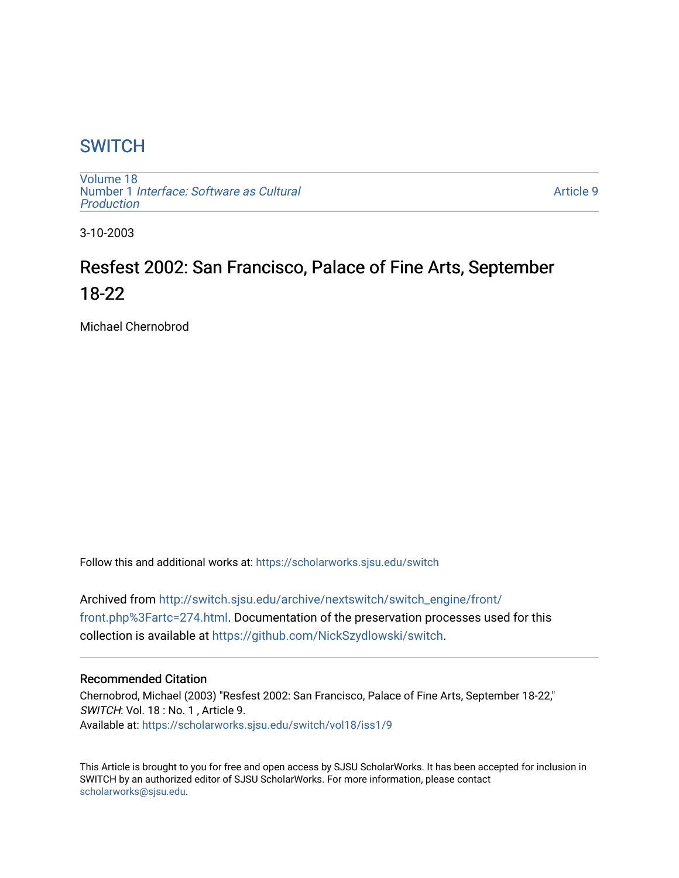# **SWITCH**

[Volume 18](https://scholarworks.sjsu.edu/switch/vol18) Number 1 [Interface: Software as Cultural](https://scholarworks.sjsu.edu/switch/vol18/iss1)  [Production](https://scholarworks.sjsu.edu/switch/vol18/iss1)

[Article 9](https://scholarworks.sjsu.edu/switch/vol18/iss1/9) 

3-10-2003

# Resfest 2002: San Francisco, Palace of Fine Arts, September 18-22

Michael Chernobrod

Follow this and additional works at: [https://scholarworks.sjsu.edu/switch](https://scholarworks.sjsu.edu/switch?utm_source=scholarworks.sjsu.edu%2Fswitch%2Fvol18%2Fiss1%2F9&utm_medium=PDF&utm_campaign=PDFCoverPages)

Archived from [http://switch.sjsu.edu/archive/nextswitch/switch\\_engine/front/](http://switch.sjsu.edu/archive/nextswitch/switch_engine/front/front.php%3Fartc=274.html) [front.php%3Fartc=274.html.](http://switch.sjsu.edu/archive/nextswitch/switch_engine/front/front.php%3Fartc=274.html) Documentation of the preservation processes used for this collection is available at [https://github.com/NickSzydlowski/switch.](https://github.com/NickSzydlowski/switch)

#### Recommended Citation

Chernobrod, Michael (2003) "Resfest 2002: San Francisco, Palace of Fine Arts, September 18-22," SWITCH: Vol. 18 : No. 1 , Article 9. Available at: [https://scholarworks.sjsu.edu/switch/vol18/iss1/9](https://scholarworks.sjsu.edu/switch/vol18/iss1/9?utm_source=scholarworks.sjsu.edu%2Fswitch%2Fvol18%2Fiss1%2F9&utm_medium=PDF&utm_campaign=PDFCoverPages) 

This Article is brought to you for free and open access by SJSU ScholarWorks. It has been accepted for inclusion in SWITCH by an authorized editor of SJSU ScholarWorks. For more information, please contact [scholarworks@sjsu.edu](mailto:scholarworks@sjsu.edu).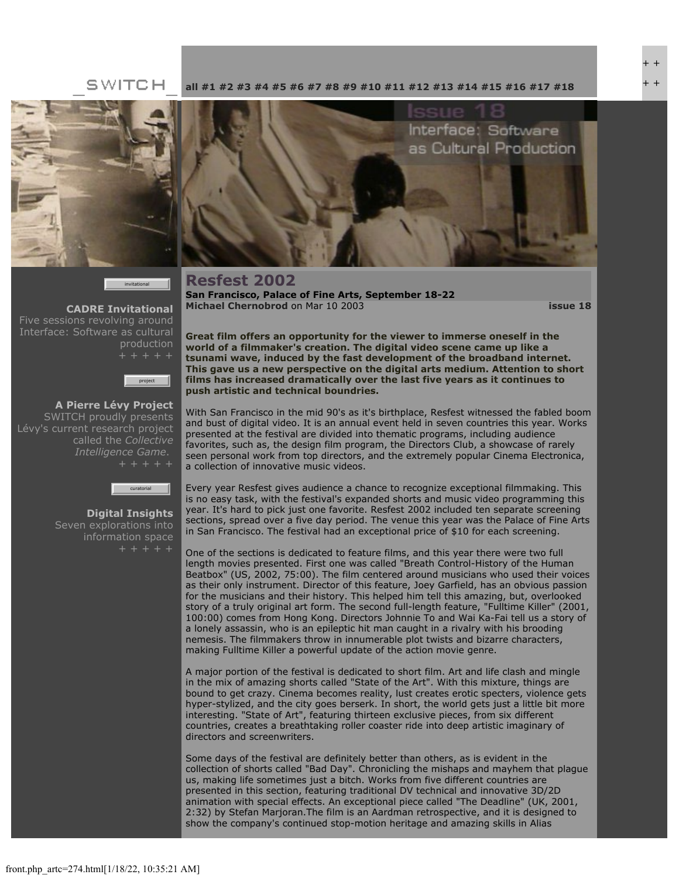+ + + +

#### SWITCH



invitational

**[CADRE Invitational](file:///Users/nszydlowski/Desktop/websites%20copy/Switch%20Journal/switch.sjsu.edu/archive/nextswitch/switch_engine/front/front.php_cat%3d45.html)** Five sessions revolving around Interface: Software as cultural production



**[A Pierre Lévy Project](file:///Users/nszydlowski/Desktop/websites%20copy/Switch%20Journal/switch.sjsu.edu/archive/nextswitch/switch_engine/front/front.php_cat%3d48.html)** SWITCH proudly presents Lévy's current research project called the *Collective Intelligence Game*.



**[Digital Insights](file:///Users/nszydlowski/Desktop/websites%20copy/Switch%20Journal/switch.sjsu.edu/archive/nextswitch/switch_engine/front/front.php_cat%3d46.html)** Seven explorations into information space

**[all](file:///Users/nszydlowski/Desktop/websites%20copy/Switch%20Journal/switch.sjsu.edu/archive/nextswitch/switch_engine/front/front.php.html) [#1](file:///Users/nszydlowski/Desktop/websites%20copy/Switch%20Journal/switch.sjsu.edu/archive/nextswitch/switch_engine/front/front.php_cat%3d5.html) [#2](file:///Users/nszydlowski/Desktop/websites%20copy/Switch%20Journal/switch.sjsu.edu/archive/nextswitch/switch_engine/front/front.php_cat%3d6.html) [#3](file:///Users/nszydlowski/Desktop/websites%20copy/Switch%20Journal/switch.sjsu.edu/archive/nextswitch/switch_engine/front/front.php_cat%3d7.html) [#4](file:///Users/nszydlowski/Desktop/websites%20copy/Switch%20Journal/switch.sjsu.edu/archive/nextswitch/switch_engine/front/front.php_cat%3d8.html) [#5](file:///Users/nszydlowski/Desktop/websites%20copy/Switch%20Journal/switch.sjsu.edu/archive/nextswitch/switch_engine/front/front.php_cat%3d9.html) [#6](file:///Users/nszydlowski/Desktop/websites%20copy/Switch%20Journal/switch.sjsu.edu/archive/nextswitch/switch_engine/front/front.php_cat%3d10.html) [#7](file:///Users/nszydlowski/Desktop/websites%20copy/Switch%20Journal/switch.sjsu.edu/archive/nextswitch/switch_engine/front/front.php_cat%3d11.html) [#8](file:///Users/nszydlowski/Desktop/websites%20copy/Switch%20Journal/switch.sjsu.edu/archive/nextswitch/switch_engine/front/front.php_cat%3d12.html) [#9](file:///Users/nszydlowski/Desktop/websites%20copy/Switch%20Journal/switch.sjsu.edu/archive/nextswitch/switch_engine/front/front.php_cat%3d13.html) [#10](file:///Users/nszydlowski/Desktop/websites%20copy/Switch%20Journal/switch.sjsu.edu/archive/nextswitch/switch_engine/front/front.php_cat%3d14.html) [#11](file:///Users/nszydlowski/Desktop/websites%20copy/Switch%20Journal/switch.sjsu.edu/archive/nextswitch/switch_engine/front/front.php_cat%3d15.html) [#12](file:///Users/nszydlowski/Desktop/websites%20copy/Switch%20Journal/switch.sjsu.edu/archive/nextswitch/switch_engine/front/front.php_cat%3d16.html) [#13](file:///Users/nszydlowski/Desktop/websites%20copy/Switch%20Journal/switch.sjsu.edu/archive/nextswitch/switch_engine/front/front.php_cat%3d17.html) [#14](file:///Users/nszydlowski/Desktop/websites%20copy/Switch%20Journal/switch.sjsu.edu/archive/nextswitch/switch_engine/front/front.php_cat%3d18.html) [#15](file:///Users/nszydlowski/Desktop/websites%20copy/Switch%20Journal/switch.sjsu.edu/archive/nextswitch/switch_engine/front/front.php_cat%3d19.html) [#16](file:///Users/nszydlowski/Desktop/websites%20copy/Switch%20Journal/switch.sjsu.edu/archive/nextswitch/switch_engine/front/front.php_cat%3d20.html) [#17](file:///Users/nszydlowski/Desktop/websites%20copy/Switch%20Journal/switch.sjsu.edu/archive/nextswitch/switch_engine/front/front.php_cat%3d21.html) [#18](file:///Users/nszydlowski/Desktop/websites%20copy/Switch%20Journal/switch.sjsu.edu/archive/nextswitch/switch_engine/front/front.php_cat%3d44.html)**



**Resfest 2002 San Francisco, Palace of Fine Arts, September 18-22 [Michael Chernobrod](file:///Users/nszydlowski/Desktop/websites%20copy/Switch%20Journal/switch.sjsu.edu/archive/nextswitch/switch_engine/front/users.php_w%3d97.html)** on Mar 10 2003 **[issue 18](file:///Users/nszydlowski/Desktop/websites%20copy/Switch%20Journal/switch.sjsu.edu/archive/nextswitch/switch_engine/front/front.php_cat%3d44.html)**

**Great film offers an opportunity for the viewer to immerse oneself in the world of a filmmaker's creation. The digital video scene came up like a tsunami wave, induced by the fast development of the broadband internet. This gave us a new perspective on the digital arts medium. Attention to short films has increased dramatically over the last five years as it continues to push artistic and technical boundries.** 

With San Francisco in the mid 90's as it's birthplace, Resfest witnessed the fabled boom and bust of digital video. It is an annual event held in seven countries this year. Works presented at the festival are divided into thematic programs, including audience favorites, such as, the design film program, the Directors Club, a showcase of rarely seen personal work from top directors, and the extremely popular Cinema Electronica, a collection of innovative music videos.

Every year Resfest gives audience a chance to recognize exceptional filmmaking. This is no easy task, with the festival's expanded shorts and music video programming this year. It's hard to pick just one favorite. Resfest 2002 included ten separate screening sections, spread over a five day period. The venue this year was the Palace of Fine Arts in San Francisco. The festival had an exceptional price of \$10 for each screening.

One of the sections is dedicated to feature films, and this year there were two full length movies presented. First one was called "Breath Control-History of the Human Beatbox" (US, 2002, 75:00). The film centered around musicians who used their voices as their only instrument. Director of this feature, Joey Garfield, has an obvious passion for the musicians and their history. This helped him tell this amazing, but, overlooked story of a truly original art form. The second full-length feature, "Fulltime Killer" (2001, 100:00) comes from Hong Kong. Directors Johnnie To and Wai Ka-Fai tell us a story of a lonely assassin, who is an epileptic hit man caught in a rivalry with his brooding nemesis. The filmmakers throw in innumerable plot twists and bizarre characters, making Fulltime Killer a powerful update of the action movie genre.

A major portion of the festival is dedicated to short film. Art and life clash and mingle in the mix of amazing shorts called "State of the Art". With this mixture, things are bound to get crazy. Cinema becomes reality, lust creates erotic specters, violence gets hyper-stylized, and the city goes berserk. In short, the world gets just a little bit more interesting. "State of Art", featuring thirteen exclusive pieces, from six different countries, creates a breathtaking roller coaster ride into deep artistic imaginary of directors and screenwriters.

Some days of the festival are definitely better than others, as is evident in the collection of shorts called "Bad Day". Chronicling the mishaps and mayhem that plague us, making life sometimes just a bitch. Works from five different countries are presented in this section, featuring traditional DV technical and innovative 3D/2D animation with special effects. An exceptional piece called "The Deadline" (UK, 2001, 2:32) by Stefan Marjoran.The film is an Aardman retrospective, and it is designed to show the company's continued stop-motion heritage and amazing skills in Alias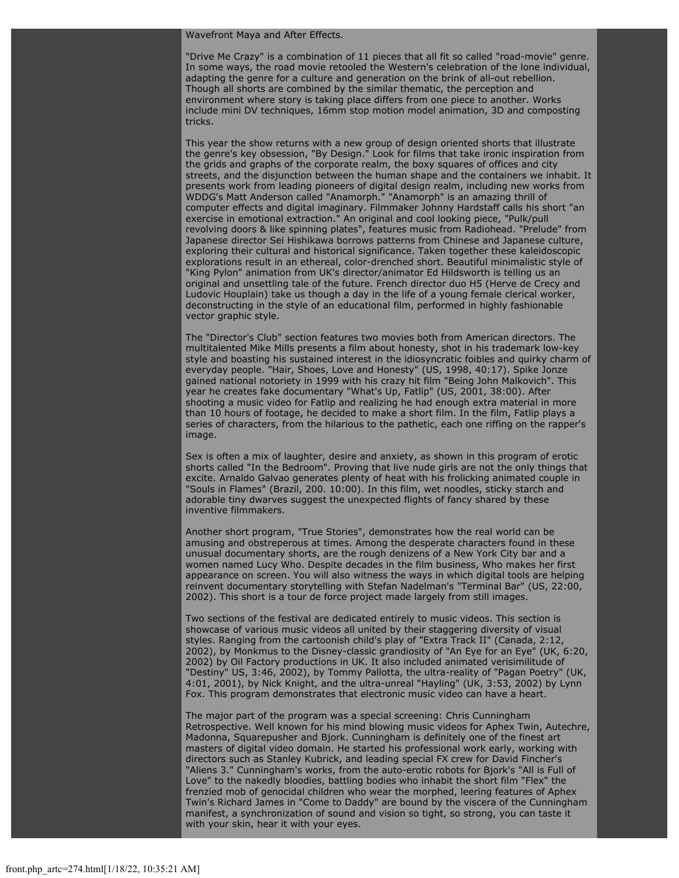#### Wavefront Maya and After Effects.

"Drive Me Crazy" is a combination of 11 pieces that all fit so called "road-movie" genre. In some ways, the road movie retooled the Western's celebration of the lone individual, adapting the genre for a culture and generation on the brink of all-out rebellion. Though all shorts are combined by the similar thematic, the perception and environment where story is taking place differs from one piece to another. Works include mini DV techniques, 16mm stop motion model animation, 3D and composting tricks.

This year the show returns with a new group of design oriented shorts that illustrate the genre's key obsession, "By Design." Look for films that take ironic inspiration from the grids and graphs of the corporate realm, the boxy squares of offices and city streets, and the disjunction between the human shape and the containers we inhabit. It presents work from leading pioneers of digital design realm, including new works from WDDG's Matt Anderson called "Anamorph." "Anamorph" is an amazing thrill of computer effects and digital imaginary. Filmmaker Johnny Hardstaff calls his short "an exercise in emotional extraction." An original and cool looking piece, "Pulk/pull revolving doors & like spinning plates", features music from Radiohead. "Prelude" from Japanese director Sei Hishikawa borrows patterns from Chinese and Japanese culture, exploring their cultural and historical significance. Taken together these kaleidoscopic explorations result in an ethereal, color-drenched short. Beautiful minimalistic style of "King Pylon" animation from UK's director/animator Ed Hildsworth is telling us an original and unsettling tale of the future. French director duo H5 (Herve de Crecy and Ludovic Houplain) take us though a day in the life of a young female clerical worker, deconstructing in the style of an educational film, performed in highly fashionable vector graphic style.

The "Director's Club" section features two movies both from American directors. The multitalented Mike Mills presents a film about honesty, shot in his trademark low-key style and boasting his sustained interest in the idiosyncratic foibles and quirky charm of everyday people. "Hair, Shoes, Love and Honesty" (US, 1998, 40:17). Spike Jonze gained national notoriety in 1999 with his crazy hit film "Being John Malkovich". This year he creates fake documentary "What's Up, Fatlip" (US, 2001, 38:00). After shooting a music video for Fatlip and realizing he had enough extra material in more than 10 hours of footage, he decided to make a short film. In the film, Fatlip plays a series of characters, from the hilarious to the pathetic, each one riffing on the rapper's image.

Sex is often a mix of laughter, desire and anxiety, as shown in this program of erotic shorts called "In the Bedroom". Proving that live nude girls are not the only things that excite. Arnaldo Galvao generates plenty of heat with his frolicking animated couple in "Souls in Flames" (Brazil, 200. 10:00). In this film, wet noodles, sticky starch and adorable tiny dwarves suggest the unexpected flights of fancy shared by these inventive filmmakers.

Another short program, "True Stories", demonstrates how the real world can be amusing and obstreperous at times. Among the desperate characters found in these unusual documentary shorts, are the rough denizens of a New York City bar and a women named Lucy Who. Despite decades in the film business, Who makes her first appearance on screen. You will also witness the ways in which digital tools are helping reinvent documentary storytelling with Stefan Nadelman's "Terminal Bar" (US, 22:00, 2002). This short is a tour de force project made largely from still images.

Two sections of the festival are dedicated entirely to music videos. This section is showcase of various music videos all united by their staggering diversity of visual styles. Ranging from the cartoonish child's play of "Extra Track II" (Canada, 2:12, 2002), by Monkmus to the Disney-classic grandiosity of "An Eye for an Eye" (UK, 6:20, 2002) by Oil Factory productions in UK. It also included animated verisimilitude of "Destiny" US, 3:46, 2002), by Tommy Pallotta, the ultra-reality of "Pagan Poetry" (UK, 4:01, 2001), by Nick Knight, and the ultra-unreal "Hayling" (UK, 3:53, 2002) by Lynn Fox. This program demonstrates that electronic music video can have a heart.

The major part of the program was a special screening: Chris Cunningham Retrospective. Well known for his mind blowing music videos for Aphex Twin, Autechre, Madonna, Squarepusher and Bjork. Cunningham is definitely one of the finest art masters of digital video domain. He started his professional work early, working with directors such as Stanley Kubrick, and leading special FX crew for David Fincher's "Aliens 3." Cunningham's works, from the auto-erotic robots for Bjork's "All is Full of Love" to the nakedly bloodies, battling bodies who inhabit the short film "Flex" the frenzied mob of genocidal children who wear the morphed, leering features of Aphex Twin's Richard James in "Come to Daddy" are bound by the viscera of the Cunningham manifest, a synchronization of sound and vision so tight, so strong, you can taste it with your skin, hear it with your eyes.